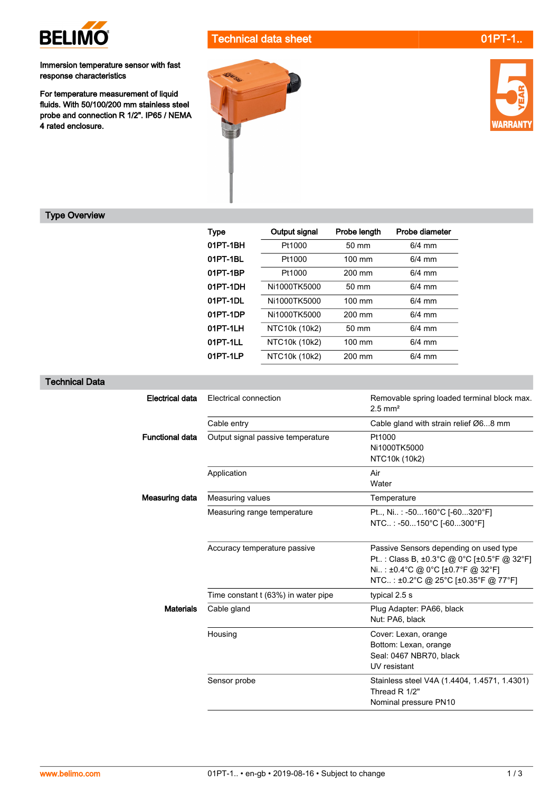

Immersion temperature sensor with fast response characteristics

For temperature measurement of liquid<br>fluids. With 50/100/200 mm stainless steel probe and connection R 1/2". IP65 / NEMA 4 rated enclosure.







## Type Overview

| <b>Type</b> | Output signal | Probe length     | <b>Probe diameter</b> |
|-------------|---------------|------------------|-----------------------|
| 01PT-1BH    | Pt1000        | 50 mm            | $6/4$ mm              |
| 01PT-1BL    | Pt1000        | $100 \text{ mm}$ | $6/4$ mm              |
| 01PT-1BP    | Pt1000        | 200 mm           | $6/4$ mm              |
| 01PT-1DH    | Ni1000TK5000  | 50 mm            | $6/4$ mm              |
| 01PT-1DL    | Ni1000TK5000  | 100 mm           | $6/4$ mm              |
| 01PT-1DP    | Ni1000TK5000  | 200 mm           | $6/4$ mm              |
| 01PT-1LH    | NTC10k (10k2) | 50 mm            | $6/4$ mm              |
| 01PT-1LL    | NTC10k (10k2) | 100 mm           | $6/4$ mm              |
| 01PT-1LP    | NTC10k (10k2) | 200 mm           | $6/4$ mm              |

## Technical Data

| <b>Electrical data</b> | Electrical connection               | Removable spring loaded terminal block max.<br>$2.5$ mm <sup>2</sup>                                                                                            |  |
|------------------------|-------------------------------------|-----------------------------------------------------------------------------------------------------------------------------------------------------------------|--|
|                        | Cable entry                         | Cable gland with strain relief Ø68 mm                                                                                                                           |  |
| <b>Functional data</b> | Output signal passive temperature   | Pt1000<br>Ni1000TK5000<br>NTC10k (10k2)                                                                                                                         |  |
|                        | Application                         | Air<br>Water                                                                                                                                                    |  |
| Measuring data         | Measuring values                    | Temperature                                                                                                                                                     |  |
|                        | Measuring range temperature         | Pt, Ni: -50160°C [-60320°F]<br>NTC.: -50150°C [-60300°F]                                                                                                        |  |
|                        | Accuracy temperature passive        | Passive Sensors depending on used type<br>Pt : Class B, ±0.3°C @ 0°C [±0.5°F @ 32°F]<br>Ni: ±0.4°C @ 0°C [±0.7°F @ 32°F]<br>NTC: ±0.2°C @ 25°C [±0.35°F @ 77°F] |  |
|                        | Time constant t (63%) in water pipe | typical 2.5 s                                                                                                                                                   |  |
| <b>Materials</b>       | Cable gland                         | Plug Adapter: PA66, black<br>Nut: PA6, black                                                                                                                    |  |
|                        | Housing                             | Cover: Lexan, orange<br>Bottom: Lexan, orange<br>Seal: 0467 NBR70, black<br>UV resistant                                                                        |  |
|                        | Sensor probe                        | Stainless steel V4A (1.4404, 1.4571, 1.4301)<br>Thread R 1/2"<br>Nominal pressure PN10                                                                          |  |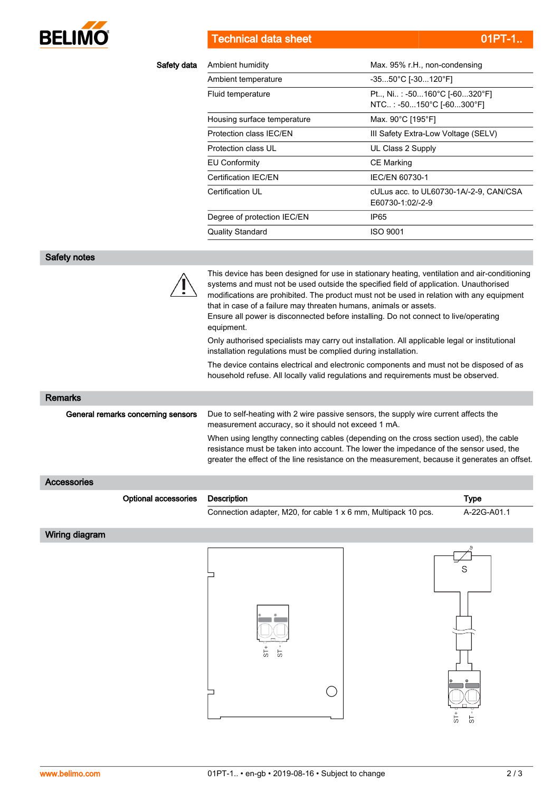

**Technical data sheet 01PT-1...** 01PT-1..

| Safety data                        | Ambient humidity                                                                                                                                  | Max. 95% r.H., non-condensing                                                                                                                                                                                                                                                                                                                                                                                                                                                                                                                                                                                                                                 |
|------------------------------------|---------------------------------------------------------------------------------------------------------------------------------------------------|---------------------------------------------------------------------------------------------------------------------------------------------------------------------------------------------------------------------------------------------------------------------------------------------------------------------------------------------------------------------------------------------------------------------------------------------------------------------------------------------------------------------------------------------------------------------------------------------------------------------------------------------------------------|
|                                    | Ambient temperature                                                                                                                               | $-3550^{\circ}$ C [-30120 $^{\circ}$ F]                                                                                                                                                                                                                                                                                                                                                                                                                                                                                                                                                                                                                       |
|                                    | Fluid temperature                                                                                                                                 | Pt, Ni: -50160°C [-60320°F]<br>NTC: -50150°C [-60300°F]                                                                                                                                                                                                                                                                                                                                                                                                                                                                                                                                                                                                       |
|                                    | Housing surface temperature                                                                                                                       | Max. 90°C [195°F]                                                                                                                                                                                                                                                                                                                                                                                                                                                                                                                                                                                                                                             |
|                                    | Protection class IEC/EN                                                                                                                           | III Safety Extra-Low Voltage (SELV)                                                                                                                                                                                                                                                                                                                                                                                                                                                                                                                                                                                                                           |
|                                    | Protection class UL                                                                                                                               | UL Class 2 Supply                                                                                                                                                                                                                                                                                                                                                                                                                                                                                                                                                                                                                                             |
|                                    | <b>EU Conformity</b>                                                                                                                              | <b>CE Marking</b>                                                                                                                                                                                                                                                                                                                                                                                                                                                                                                                                                                                                                                             |
|                                    | Certification IEC/EN                                                                                                                              | IEC/EN 60730-1                                                                                                                                                                                                                                                                                                                                                                                                                                                                                                                                                                                                                                                |
|                                    | Certification UL                                                                                                                                  | cULus acc. to UL60730-1A/-2-9, CAN/CSA<br>E60730-1:02/-2-9                                                                                                                                                                                                                                                                                                                                                                                                                                                                                                                                                                                                    |
|                                    | Degree of protection IEC/EN                                                                                                                       | IP <sub>65</sub>                                                                                                                                                                                                                                                                                                                                                                                                                                                                                                                                                                                                                                              |
|                                    | <b>Quality Standard</b>                                                                                                                           | <b>ISO 9001</b>                                                                                                                                                                                                                                                                                                                                                                                                                                                                                                                                                                                                                                               |
|                                    |                                                                                                                                                   |                                                                                                                                                                                                                                                                                                                                                                                                                                                                                                                                                                                                                                                               |
| Safety notes                       |                                                                                                                                                   |                                                                                                                                                                                                                                                                                                                                                                                                                                                                                                                                                                                                                                                               |
|                                    | that in case of a failure may threaten humans, animals or assets.<br>equipment.<br>installation regulations must be complied during installation. | This device has been designed for use in stationary heating, ventilation and air-conditioning<br>systems and must not be used outside the specified field of application. Unauthorised<br>modifications are prohibited. The product must not be used in relation with any equipment<br>Ensure all power is disconnected before installing. Do not connect to live/operating<br>Only authorised specialists may carry out installation. All applicable legal or institutional<br>The device contains electrical and electronic components and must not be disposed of as<br>household refuse. All locally valid regulations and requirements must be observed. |
|                                    |                                                                                                                                                   |                                                                                                                                                                                                                                                                                                                                                                                                                                                                                                                                                                                                                                                               |
| <b>Remarks</b>                     |                                                                                                                                                   |                                                                                                                                                                                                                                                                                                                                                                                                                                                                                                                                                                                                                                                               |
| General remarks concerning sensors | measurement accuracy, so it should not exceed 1 mA.                                                                                               | Due to self-heating with 2 wire passive sensors, the supply wire current affects the                                                                                                                                                                                                                                                                                                                                                                                                                                                                                                                                                                          |
|                                    |                                                                                                                                                   | When using lengthy connecting cables (depending on the cross section used), the cable<br>resistance must be taken into account. The lower the impedance of the sensor used, the<br>greater the effect of the line resistance on the measurement, because it generates an offset.                                                                                                                                                                                                                                                                                                                                                                              |
| <b>Accessories</b>                 |                                                                                                                                                   |                                                                                                                                                                                                                                                                                                                                                                                                                                                                                                                                                                                                                                                               |
| Optional accessories               | <b>Description</b>                                                                                                                                | <b>Type</b>                                                                                                                                                                                                                                                                                                                                                                                                                                                                                                                                                                                                                                                   |
|                                    | Connection adapter, M20, for cable 1 x 6 mm, Multipack 10 pcs.                                                                                    | A-22G-A01.1                                                                                                                                                                                                                                                                                                                                                                                                                                                                                                                                                                                                                                                   |
| Wiring diagram                     |                                                                                                                                                   |                                                                                                                                                                                                                                                                                                                                                                                                                                                                                                                                                                                                                                                               |
|                                    |                                                                                                                                                   |                                                                                                                                                                                                                                                                                                                                                                                                                                                                                                                                                                                                                                                               |
|                                    |                                                                                                                                                   | S                                                                                                                                                                                                                                                                                                                                                                                                                                                                                                                                                                                                                                                             |
|                                    |                                                                                                                                                   |                                                                                                                                                                                                                                                                                                                                                                                                                                                                                                                                                                                                                                                               |

 $\bigcirc$ 

55